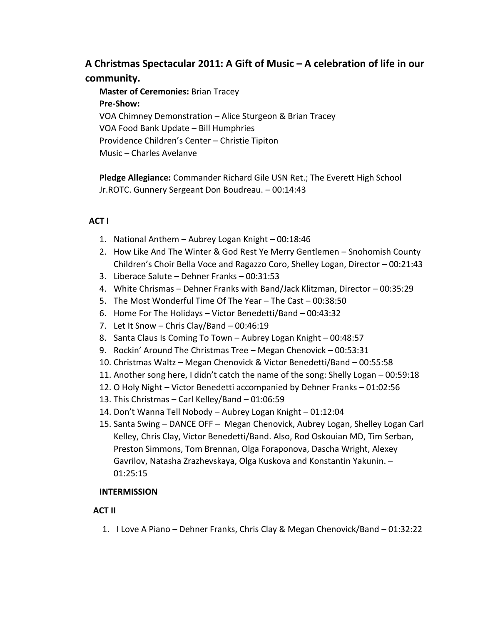## **A Christmas Spectacular 2011: A Gift of Music – A celebration of life in our community.**

**Master of Ceremonies:** Brian Tracey **Pre-Show:** VOA Chimney Demonstration – Alice Sturgeon & Brian Tracey VOA Food Bank Update – Bill Humphries Providence Children's Center – Christie Tipiton Music – Charles Avelanve

**Pledge Allegiance:** Commander Richard Gile USN Ret.; The Everett High School Jr.ROTC. Gunnery Sergeant Don Boudreau. – 00:14:43

## **ACT I**

- 1. National Anthem Aubrey Logan Knight 00:18:46
- 2. How Like And The Winter & God Rest Ye Merry Gentlemen Snohomish County Children's Choir Bella Voce and Ragazzo Coro, Shelley Logan, Director – 00:21:43
- 3. Liberace Salute Dehner Franks 00:31:53
- 4. White Chrismas Dehner Franks with Band/Jack Klitzman, Director 00:35:29
- 5. The Most Wonderful Time Of The Year The Cast 00:38:50
- 6. Home For The Holidays Victor Benedetti/Band 00:43:32
- 7. Let It Snow Chris Clay/Band 00:46:19
- 8. Santa Claus Is Coming To Town Aubrey Logan Knight 00:48:57
- 9. Rockin' Around The Christmas Tree Megan Chenovick 00:53:31
- 10. Christmas Waltz Megan Chenovick & Victor Benedetti/Band 00:55:58
- 11. Another song here, I didn't catch the name of the song: Shelly Logan 00:59:18
- 12. O Holy Night Victor Benedetti accompanied by Dehner Franks 01:02:56
- 13. This Christmas Carl Kelley/Band 01:06:59
- 14. Don't Wanna Tell Nobody Aubrey Logan Knight 01:12:04
- 15. Santa Swing DANCE OFF Megan Chenovick, Aubrey Logan, Shelley Logan Carl Kelley, Chris Clay, Victor Benedetti/Band. Also, Rod Oskouian MD, Tim Serban, Preston Simmons, Tom Brennan, Olga Foraponova, Dascha Wright, Alexey Gavrilov, Natasha Zrazhevskaya, Olga Kuskova and Konstantin Yakunin. – 01:25:15

## **INTERMISSION**

## **ACT II**

1. I Love A Piano – Dehner Franks, Chris Clay & Megan Chenovick/Band – 01:32:22